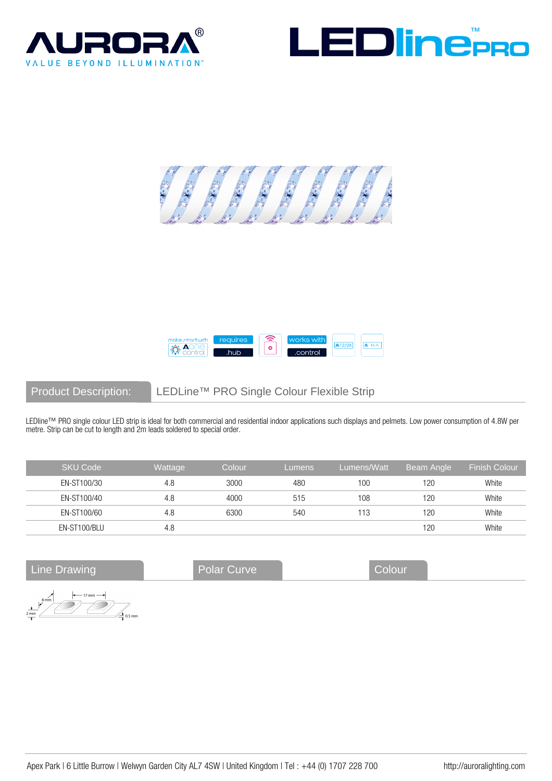







Product Description: LEDLine™ PRO Single Colour Flexible Strip

LEDline™ PRO single colour LED strip is ideal for both commercial and residential indoor applications such displays and pelmets. Low power consumption of 4.8W per metre. Strip can be cut to length and 2m leads soldered to special order.

| <b>SKU Code</b> | Wattage | Colour | Lumens | Lumens/Watt | Beam Angle |       |
|-----------------|---------|--------|--------|-------------|------------|-------|
| EN-ST100/30     | 4.8     | 3000   | 480    | 100         | 120        | White |
| EN-ST100/40     | 4.8     | 4000   | 515    | 108         | 120        | White |
| EN-ST100/60     | 4.8     | 6300   | 540    | 113         | 120        | White |
| EN-ST100/BLU    | 4.8     |        |        |             | 120        | White |

Line Drawing **Colour** Polar Curve Colour